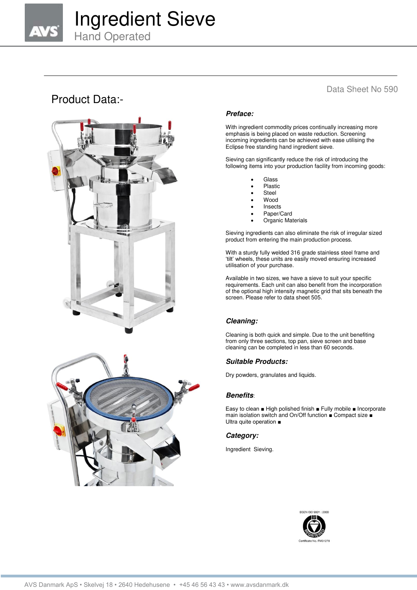# Ingredient Sieve

Hand Operated

## Product Data:-





### Data Sheet No 590

#### *Preface:*

With ingredient commodity prices continually increasing more emphasis is being placed on waste reduction. Screening incoming ingredients can be achieved with ease utilising the Eclipse free standing hand ingredient sieve.

Sieving can significantly reduce the risk of introducing the following items into your production facility from incoming goods:

- Glass
- Plastic
- Steel
- **Wood**
- Insects
- Paper/Card
- Organic Materials

Sieving ingredients can also eliminate the risk of irregular sized product from entering the main production process.

With a sturdy fully welded 316 grade stainless steel frame and 'tilt' wheels, these units are easily moved ensuring increased utilisation of your purchase.

Available in two sizes, we have a sieve to suit your specific requirements. Each unit can also benefit from the incorporation of the optional high intensity magnetic grid that sits beneath the screen. Please refer to data sheet 505.

#### *Cleaning:*

Cleaning is both quick and simple. Due to the unit benefiting from only three sections, top pan, sieve screen and base cleaning can be completed in less than 60 seconds.

#### *Suitable Products:*

Dry powders, granulates and liquids.

#### *Benefits*:

Easy to clean ■ High polished finish ■ Fully mobile ■ Incorporate main isolation switch and On/Off function ■ Compact size ■ Ultra quite operation ■

#### *Category:*

Ingredient Sieving.